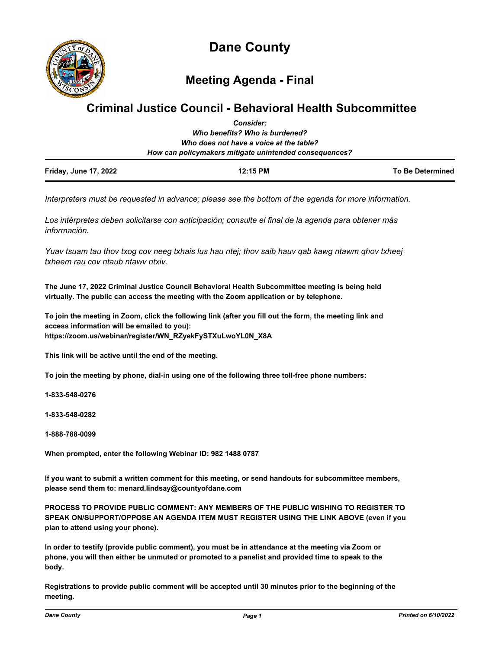

**Meeting Agenda - Final**

# **Criminal Justice Council - Behavioral Health Subcommittee** *Consider:*

| <b>Friday, June 17, 2022</b> | 12:15 PM                                               | To Be Determined |
|------------------------------|--------------------------------------------------------|------------------|
|                              | How can policymakers mitigate unintended consequences? |                  |
|                              | Who does not have a voice at the table?                |                  |
|                              | Who benefits? Who is burdened?                         |                  |
|                              | GUIDIUGI.                                              |                  |

*Interpreters must be requested in advance; please see the bottom of the agenda for more information.*

*Los intérpretes deben solicitarse con anticipación; consulte el final de la agenda para obtener más información.*

*Yuav tsuam tau thov txog cov neeg txhais lus hau ntej; thov saib hauv qab kawg ntawm qhov txheej txheem rau cov ntaub ntawv ntxiv.*

**The June 17, 2022 Criminal Justice Council Behavioral Health Subcommittee meeting is being held virtually. The public can access the meeting with the Zoom application or by telephone.**

**To join the meeting in Zoom, click the following link (after you fill out the form, the meeting link and access information will be emailed to you): https://zoom.us/webinar/register/WN\_RZyekFySTXuLwoYL0N\_X8A**

**This link will be active until the end of the meeting.**

**To join the meeting by phone, dial-in using one of the following three toll-free phone numbers:**

**1-833-548-0276**

**1-833-548-0282**

**1-888-788-0099**

**When prompted, enter the following Webinar ID: 982 1488 0787**

**If you want to submit a written comment for this meeting, or send handouts for subcommittee members, please send them to: menard.lindsay@countyofdane.com**

**PROCESS TO PROVIDE PUBLIC COMMENT: ANY MEMBERS OF THE PUBLIC WISHING TO REGISTER TO SPEAK ON/SUPPORT/OPPOSE AN AGENDA ITEM MUST REGISTER USING THE LINK ABOVE (even if you plan to attend using your phone).**

**In order to testify (provide public comment), you must be in attendance at the meeting via Zoom or phone, you will then either be unmuted or promoted to a panelist and provided time to speak to the body.**

**Registrations to provide public comment will be accepted until 30 minutes prior to the beginning of the meeting.**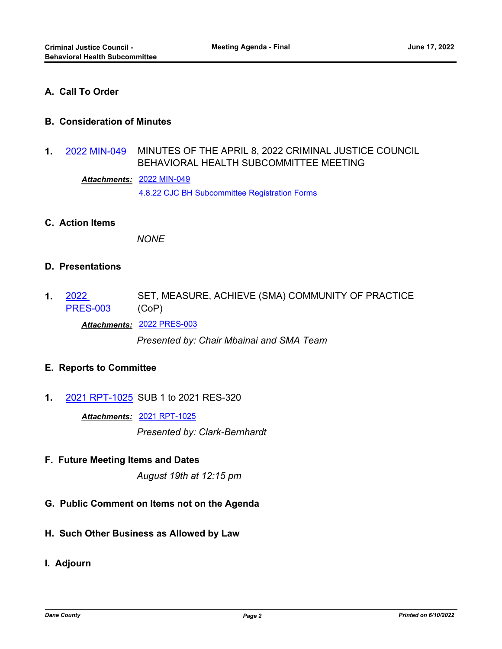# **A. Call To Order**

### **B. Consideration of Minutes**

MINUTES OF THE APRIL 8, 2022 CRIMINAL JUSTICE COUNCIL BEHAVIORAL HEALTH SUBCOMMITTEE MEETING **1.** [2022 MIN-049](http://dane.legistar.com/gateway.aspx?m=l&id=/matter.aspx?key=22867)

[2022 MIN-049](http://dane.legistar.com/gateway.aspx?M=F&ID=a48cf0a4-baaf-4487-b61c-8e5f7ff02f88.pdf) *Attachments:*

[4.8.22 CJC BH Subcommittee Registration Forms](http://dane.legistar.com/gateway.aspx?M=F&ID=3dc7f6da-e31f-4aee-aede-f761b77cf934.pdf)

**C. Action Items**

*NONE*

### **D. Presentations**

SET, MEASURE, ACHIEVE (SMA) COMMUNITY OF PRACTICE (CoP) 2022 [PRES-003](http://dane.legistar.com/gateway.aspx?m=l&id=/matter.aspx?key=22693) **1.**

*Attachments:* [2022 PRES-003](http://dane.legistar.com/gateway.aspx?M=F&ID=f4b18a6b-6e11-47f0-a05d-f640fe52d6b5.pdf)

*Presented by: Chair Mbainai and SMA Team*

### **E. Reports to Committee**

**1.** [2021 RPT-1025](http://dane.legistar.com/gateway.aspx?m=l&id=/matter.aspx?key=22631) SUB 1 to 2021 RES-320

*Attachments:* [2021 RPT-1025](http://dane.legistar.com/gateway.aspx?M=F&ID=82643854-4fa7-4d15-90ee-74b35c9279e5.pdf)

*Presented by: Clark-Bernhardt*

**F. Future Meeting Items and Dates**

*August 19th at 12:15 pm*

- **G. Public Comment on Items not on the Agenda**
- **H. Such Other Business as Allowed by Law**
- **I. Adjourn**